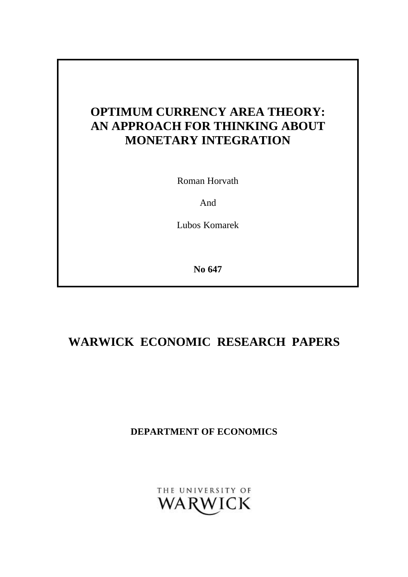# **OPTIMUM CURRENCY AREA THEORY: AN APPROACH FOR THINKING ABOUT MONETARY INTEGRATION**

Roman Horvath

And

Lubos Komarek

**No 647**

# **WARWICK ECONOMIC RESEARCH PAPERS**

**DEPARTMENT OF ECONOMICS**

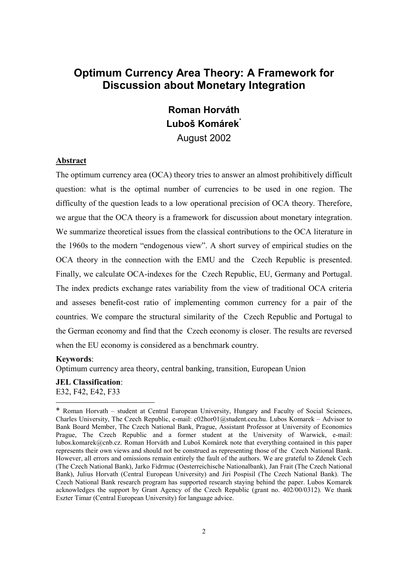# **Optimum Currency Area Theory: A Framework for Discussion about Monetary Integration**

# **Roman Horváth Luboš Komárek**\* August 2002

#### **Abstract**

The optimum currency area (OCA) theory tries to answer an almost prohibitively difficult question: what is the optimal number of currencies to be used in one region. The difficulty of the question leads to a low operational precision of OCA theory. Therefore, we argue that the OCA theory is a framework for discussion about monetary integration. We summarize theoretical issues from the classical contributions to the OCA literature in the 1960s to the modern "endogenous view". A short survey of empirical studies on the OCA theory in the connection with the EMU and the Czech Republic is presented. Finally, we calculate OCA-indexes for the Czech Republic, EU, Germany and Portugal. The index predicts exchange rates variability from the view of traditional OCA criteria and asseses benefit-cost ratio of implementing common currency for a pair of the countries. We compare the structural similarity of the Czech Republic and Portugal to the German economy and find that the Czech economy is closer. The results are reversed when the EU economy is considered as a benchmark country.

#### **Keywords**:

l

Optimum currency area theory, central banking, transition, European Union

**JEL Classification**: E32, F42, E42, F33

<sup>\*</sup> Roman Horvath – student at Central European University, Hungary and Faculty of Social Sciences, Charles University, The Czech Republic, e-mail: c02hor01@student.ceu.hu. Lubos Komarek – Advisor to Bank Board Member, The Czech National Bank, Prague, Assistant Professor at University of Economics Prague, The Czech Republic and a former student at the University of Warwick, e-mail: lubos.komarek@cnb.cz. Roman Horváth and Luboš Komárek note that everything contained in this paper represents their own views and should not be construed as representing those of the Czech National Bank. However, all errors and omissions remain entirely the fault of the authors. We are grateful to Zdenek Cech (The Czech National Bank), Jarko Fidrmuc (Oesterreichische Nationalbank), Jan Frait (The Czech National Bank), Julius Horvath (Central European University) and Jiri Pospisil (The Czech National Bank). The Czech National Bank research program has supported research staying behind the paper. Lubos Komarek acknowledges the support by Grant Agency of the Czech Republic (grant no. 402/00/0312). We thank Eszter Timar (Central European University) for language advice.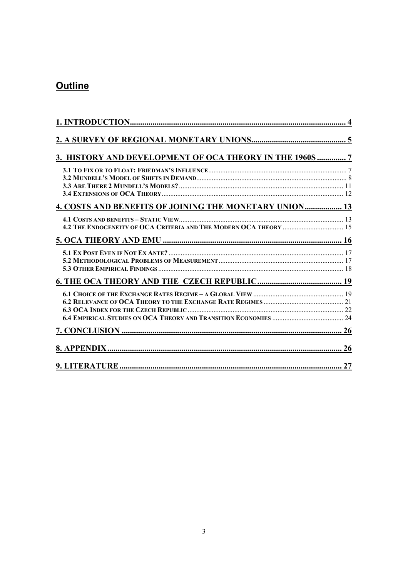# **Outline**

| 3. HISTORY AND DEVELOPMENT OF OCA THEORY IN THE 1960S  7      |  |
|---------------------------------------------------------------|--|
|                                                               |  |
| <b>4. COSTS AND BENEFITS OF JOINING THE MONETARY UNION 13</b> |  |
|                                                               |  |
|                                                               |  |
|                                                               |  |
|                                                               |  |
|                                                               |  |
|                                                               |  |
|                                                               |  |
|                                                               |  |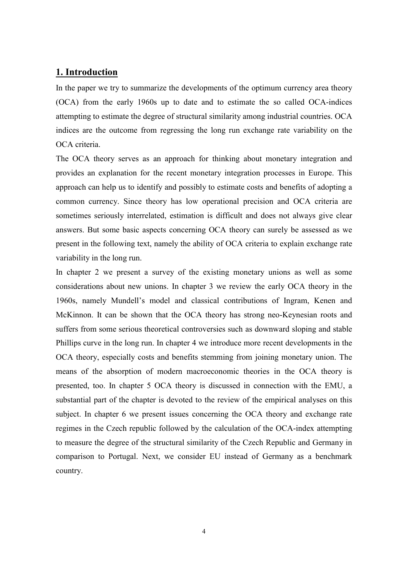# **1. Introduction**

In the paper we try to summarize the developments of the optimum currency area theory (OCA) from the early 1960s up to date and to estimate the so called OCA-indices attempting to estimate the degree of structural similarity among industrial countries. OCA indices are the outcome from regressing the long run exchange rate variability on the OCA criteria.

The OCA theory serves as an approach for thinking about monetary integration and provides an explanation for the recent monetary integration processes in Europe. This approach can help us to identify and possibly to estimate costs and benefits of adopting a common currency. Since theory has low operational precision and OCA criteria are sometimes seriously interrelated, estimation is difficult and does not always give clear answers. But some basic aspects concerning OCA theory can surely be assessed as we present in the following text, namely the ability of OCA criteria to explain exchange rate variability in the long run.

In chapter 2 we present a survey of the existing monetary unions as well as some considerations about new unions. In chapter 3 we review the early OCA theory in the 1960s, namely Mundell's model and classical contributions of Ingram, Kenen and McKinnon. It can be shown that the OCA theory has strong neo-Keynesian roots and suffers from some serious theoretical controversies such as downward sloping and stable Phillips curve in the long run. In chapter 4 we introduce more recent developments in the OCA theory, especially costs and benefits stemming from joining monetary union. The means of the absorption of modern macroeconomic theories in the OCA theory is presented, too. In chapter 5 OCA theory is discussed in connection with the EMU, a substantial part of the chapter is devoted to the review of the empirical analyses on this subject. In chapter 6 we present issues concerning the OCA theory and exchange rate regimes in the Czech republic followed by the calculation of the OCA-index attempting to measure the degree of the structural similarity of the Czech Republic and Germany in comparison to Portugal. Next, we consider EU instead of Germany as a benchmark country.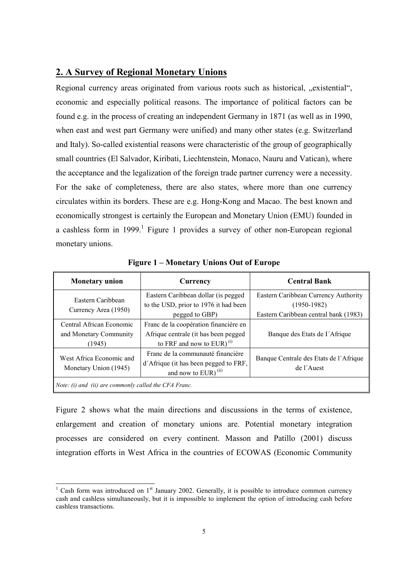# **2. A Survey of Regional Monetary Unions**

Regional currency areas originated from various roots such as historical, "existential", economic and especially political reasons. The importance of political factors can be found e.g. in the process of creating an independent Germany in 1871 (as well as in 1990, when east and west part Germany were unified) and many other states (e.g. Switzerland and Italy). So-called existential reasons were characteristic of the group of geographically small countries (El Salvador, Kiribati, Liechtenstein, Monaco, Nauru and Vatican), where the acceptance and the legalization of the foreign trade partner currency were a necessity. For the sake of completeness, there are also states, where more than one currency circulates within its borders. These are e.g. Hong-Kong and Macao. The best known and economically strongest is certainly the European and Monetary Union (EMU) founded in a cashless form in 1999.<sup>1</sup> Figure 1 provides a survey of other non-European regional monetary unions.

| <b>Monetary union</b>                                        | Currency                                                                                                                  | <b>Central Bank</b>                                                                            |  |  |  |  |
|--------------------------------------------------------------|---------------------------------------------------------------------------------------------------------------------------|------------------------------------------------------------------------------------------------|--|--|--|--|
| Eastern Caribbean<br>Currency Area (1950)                    | Eastern Caribbean dollar (is pegged<br>to the USD, prior to 1976 it had been<br>pegged to GBP)                            | Eastern Caribbean Currency Authority<br>$(1950-1982)$<br>Eastern Caribbean central bank (1983) |  |  |  |  |
| Central African Economic<br>and Monetary Community<br>(1945) | Franc de la coopération financiére en<br>Afrique centrale (it has been pegged<br>to FRF and now to $EUR$ ) <sup>(i)</sup> | Banque des Etats de l'Afrique                                                                  |  |  |  |  |
| West Africa Economic and<br>Monetary Union (1945)            | Franc de la communauté financière<br>d'Afrique (it has been pegged to FRF,<br>and now to $EUR$ ) <sup>(ii)</sup>          | Banque Centrale des Etats de l'Afrique<br>de l'Auest                                           |  |  |  |  |
| Note: (i) and (ii) are commonly called the CFA Franc.        |                                                                                                                           |                                                                                                |  |  |  |  |

**Figure 1 – Monetary Unions Out of Europe**

Figure 2 shows what the main directions and discussions in the terms of existence, enlargement and creation of monetary unions are. Potential monetary integration processes are considered on every continent. Masson and Patillo (2001) discuss integration efforts in West Africa in the countries of ECOWAS (Economic Community

<sup>1</sup> Cash form was introduced on  $1<sup>st</sup>$  January 2002. Generally, it is possible to introduce common currency cash and cashless simultaneously, but it is impossible to implement the option of introducing cash before cashless transactions.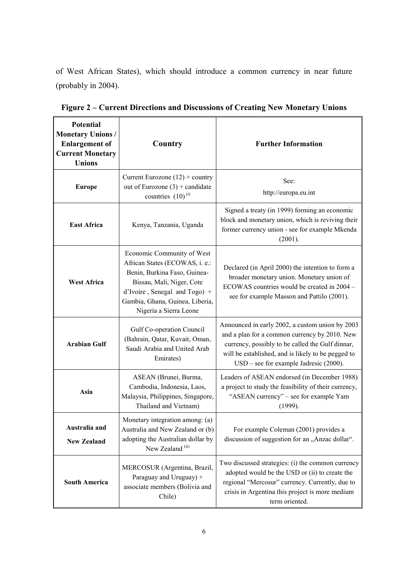of West African States), which should introduce a common currency in near future (probably in 2004).

| <b>Potential</b><br><b>Monetary Unions/</b><br><b>Enlargement of</b><br><b>Current Monetary</b><br><b>Unions</b>            | Country                                                                                                                                                                                                                    | <b>Further Information</b>                                                                                                                                                                                                                             |  |  |
|-----------------------------------------------------------------------------------------------------------------------------|----------------------------------------------------------------------------------------------------------------------------------------------------------------------------------------------------------------------------|--------------------------------------------------------------------------------------------------------------------------------------------------------------------------------------------------------------------------------------------------------|--|--|
| <b>Europe</b>                                                                                                               | Current Eurozone $(12)$ + country<br>out of Eurozone $(3)$ + candidate<br>countries $(10)^{(i)}$                                                                                                                           | See:<br>http://europa.eu.int                                                                                                                                                                                                                           |  |  |
| <b>East Africa</b>                                                                                                          | Kenya, Tanzania, Uganda                                                                                                                                                                                                    | Signed a treaty (in 1999) forming an economic<br>block and monetary union, which is reviving their<br>former currency union - see for example Mkenda<br>(2001).                                                                                        |  |  |
| <b>West Africa</b>                                                                                                          | Economic Community of West<br>African States (ECOWAS, i. e.:<br>Benin, Burkina Faso, Guinea-<br>Bissau, Mali, Niger, Cote<br>$d'Ivoire$ , Senegal and Togo) +<br>Gambia, Ghana, Guinea, Liberia,<br>Nigeria a Sierra Leone | Declared (in April 2000) the intention to form a<br>broader monetary union. Monetary union of<br>ECOWAS countries would be created in 2004 -<br>see for example Masson and Pattilo (2001).                                                             |  |  |
| <b>Arabian Gulf</b>                                                                                                         | Gulf Co-operation Council<br>(Bahrain, Qatar, Kuvait, Oman,<br>Saudi Arabia and United Arab<br>Emirates)                                                                                                                   | Announced in early 2002, a custom union by 2003<br>and a plan for a common currency by 2010. New<br>currency, possibly to be called the Gulf dinnar,<br>will be established, and is likely to be pegged to<br>$USD - see for example Jadresic (2000).$ |  |  |
| Asia                                                                                                                        | ASEAN (Brunei, Burma,<br>Cambodia, Indonesia, Laos,<br>Malaysia, Philippines, Singapore,<br>Thailand and Vietnam)                                                                                                          | Leaders of ASEAN endorsed (in December 1988)<br>a project to study the feasibility of their currency,<br>"ASEAN currency" - see for example Yam<br>(1999).                                                                                             |  |  |
| Australia and<br><b>New Zealand</b>                                                                                         | Monetary integration among: (a)<br>Australia and New Zealand or (b)<br>adopting the Australian dollar by<br>New Zealand <sup>(ii)</sup>                                                                                    | For example Coleman (2001) provides a<br>discussion of suggestion for an "Anzac dollar".                                                                                                                                                               |  |  |
| MERCOSUR (Argentina, Brazil,<br>Paraguay and Uruguay) +<br><b>South America</b><br>associate members (Bolivia and<br>Chile) |                                                                                                                                                                                                                            | Two discussed strategies: (i) the common currency<br>adopted would be the USD or (ii) to create the<br>regional "Mercosur" currency. Currently, due to<br>crisis in Argentina this project is more medium<br>term oriented.                            |  |  |

**Figure 2 – Current Directions and Discussions of Creating New Monetary Unions**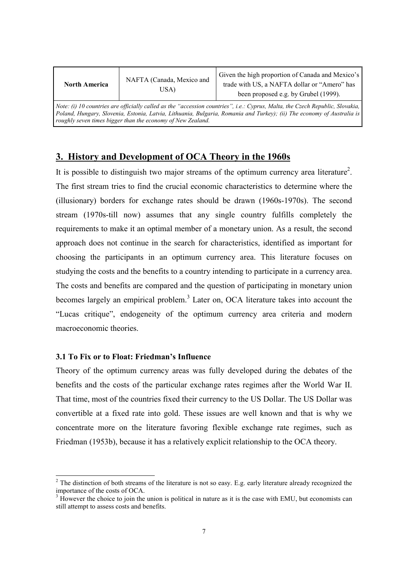| NAFTA (Canada, Mexico and                                                                                                                                                                                                                                                                                              |  | Given the high proportion of Canada and Mexico's |  |  |  |  |
|------------------------------------------------------------------------------------------------------------------------------------------------------------------------------------------------------------------------------------------------------------------------------------------------------------------------|--|--------------------------------------------------|--|--|--|--|
| <b>North America</b>                                                                                                                                                                                                                                                                                                   |  | trade with US, a NAFTA dollar or "Amero" has     |  |  |  |  |
| USA)                                                                                                                                                                                                                                                                                                                   |  | been proposed e.g. by Grubel (1999).             |  |  |  |  |
| Note: (i) 10 countries are officially called as the "accession countries", i.e.: Cyprus, Malta, the Czech Republic, Slovakia,<br>Poland, Hungary, Slovenia, Estonia, Latvia, Lithuania, Bulgaria, Romania and Turkey); (ii) The economy of Australia is<br>roughly seven times bigger than the economy of New Zealand. |  |                                                  |  |  |  |  |

# **3. History and Development of OCA Theory in the 1960s**

It is possible to distinguish two major streams of the optimum currency area literature<sup>2</sup>. The first stream tries to find the crucial economic characteristics to determine where the (illusionary) borders for exchange rates should be drawn (1960s-1970s). The second stream (1970s-till now) assumes that any single country fulfills completely the requirements to make it an optimal member of a monetary union. As a result, the second approach does not continue in the search for characteristics, identified as important for choosing the participants in an optimum currency area. This literature focuses on studying the costs and the benefits to a country intending to participate in a currency area. The costs and benefits are compared and the question of participating in monetary union becomes largely an empirical problem.<sup>3</sup> Later on, OCA literature takes into account the "Lucas critique", endogeneity of the optimum currency area criteria and modern macroeconomic theories.

### **3.1 To Fix or to Float: Friedman's Influence**

 $\overline{a}$ 

Theory of the optimum currency areas was fully developed during the debates of the benefits and the costs of the particular exchange rates regimes after the World War II. That time, most of the countries fixed their currency to the US Dollar. The US Dollar was convertible at a fixed rate into gold. These issues are well known and that is why we concentrate more on the literature favoring flexible exchange rate regimes, such as Friedman (1953b), because it has a relatively explicit relationship to the OCA theory.

<sup>&</sup>lt;sup>2</sup> The distinction of both streams of the literature is not so easy. E.g. early literature already recognized the importance of the costs of OCA.

 $3$  However the choice to join the union is political in nature as it is the case with EMU, but economists can still attempt to assess costs and benefits.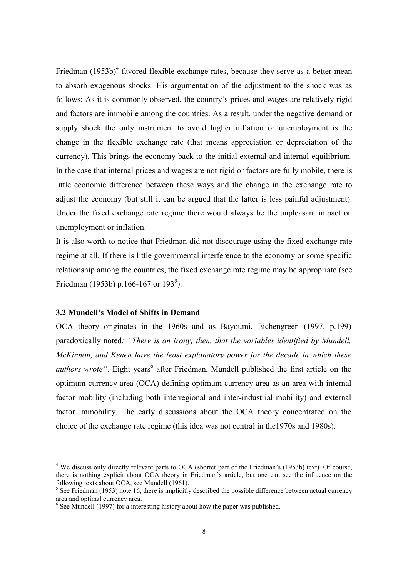Friedman  $(1953b)^4$  favored flexible exchange rates, because they serve as a better mean to absorb exogenous shocks. His argumentation of the adjustment to the shock was as follows: As it is commonly observed, the country's prices and wages are relatively rigid and factors are immobile among the countries. As a result, under the negative demand or supply shock the only instrument to avoid higher inflation or unemployment is the change in the flexible exchange rate (that means appreciation or depreciation of the currency). This brings the economy back to the initial external and internal equilibrium. In the case that internal prices and wages are not rigid or factors are fully mobile, there is little economic difference between these ways and the change in the exchange rate to adjust the economy (but still it can be argued that the latter is less painful adjustment). Under the fixed exchange rate regime there would always be the unpleasant impact on unemployment or inflation.

It is also worth to notice that Friedman did not discourage using the fixed exchange rate regime at all. If there is little governmental interference to the economy or some specific relationship among the countries, the fixed exchange rate regime may be appropriate (see Friedman (1953b) p.166-167 or 193<sup>5</sup>).

#### **3.2 Mundell's Model of Shifts in Demand**

 $\overline{a}$ 

OCA theory originates in the 1960s and as Bayoumi, Eichengreen (1997, p.199) paradoxically noted*: "There is an irony, then, that the variables identified by Mundell, McKinnon, and Kenen have the least explanatory power for the decade in which these* authors wrote". Eight years<sup>6</sup> after Friedman, Mundell published the first article on the optimum currency area (OCA) defining optimum currency area as an area with internal factor mobility (including both interregional and inter-industrial mobility) and external factor immobility. The early discussions about the OCA theory concentrated on the choice of the exchange rate regime (this idea was not central in the1970s and 1980s).

<sup>&</sup>lt;sup>4</sup> We discuss only directly relevant parts to OCA (shorter part of the Friedman's (1953b) text). Of course, there is nothing explicit about OCA theory in Friedman's article, but one can see the influence on the following texts about OCA, see Mundell (1961).

 $5$  See Friedman (1953) note 16, there is implicitly described the possible difference between actual currency area and optimal currency area.

 $6$  See Mundell (1997) for a interesting history about how the paper was published.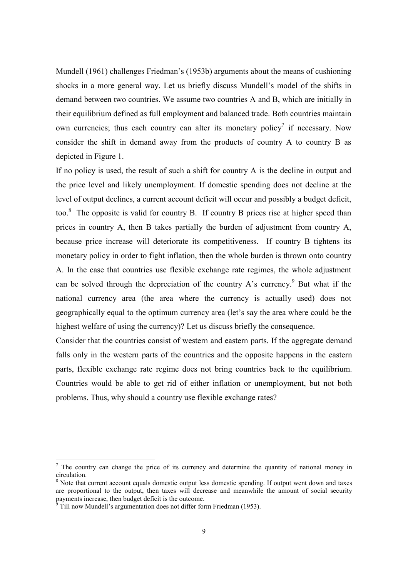Mundell (1961) challenges Friedman's (1953b) arguments about the means of cushioning shocks in a more general way. Let us briefly discuss Mundell's model of the shifts in demand between two countries. We assume two countries A and B, which are initially in their equilibrium defined as full employment and balanced trade. Both countries maintain own currencies; thus each country can alter its monetary policy<sup>7</sup> if necessary. Now consider the shift in demand away from the products of country A to country B as depicted in Figure 1.

If no policy is used, the result of such a shift for country A is the decline in output and the price level and likely unemployment. If domestic spending does not decline at the level of output declines, a current account deficit will occur and possibly a budget deficit, too.<sup>8</sup> The opposite is valid for country B. If country B prices rise at higher speed than prices in country A, then B takes partially the burden of adjustment from country A, because price increase will deteriorate its competitiveness. If country B tightens its monetary policy in order to fight inflation, then the whole burden is thrown onto country A. In the case that countries use flexible exchange rate regimes, the whole adjustment can be solved through the depreciation of the country A's currency.<sup>9</sup> But what if the national currency area (the area where the currency is actually used) does not geographically equal to the optimum currency area (let's say the area where could be the highest welfare of using the currency)? Let us discuss briefly the consequence.

Consider that the countries consist of western and eastern parts. If the aggregate demand falls only in the western parts of the countries and the opposite happens in the eastern parts, flexible exchange rate regime does not bring countries back to the equilibrium. Countries would be able to get rid of either inflation or unemployment, but not both problems. Thus, why should a country use flexible exchange rates?

<sup>&</sup>lt;sup>7</sup> The country can change the price of its currency and determine the quantity of national money in circulation.

<sup>8</sup> Note that current account equals domestic output less domestic spending. If output went down and taxes are proportional to the output, then taxes will decrease and meanwhile the amount of social security payments increase, then budget deficit is the outcome.<br><sup>9</sup> Till now Mundall's argumentation does not differ for

Till now Mundell's argumentation does not differ form Friedman (1953).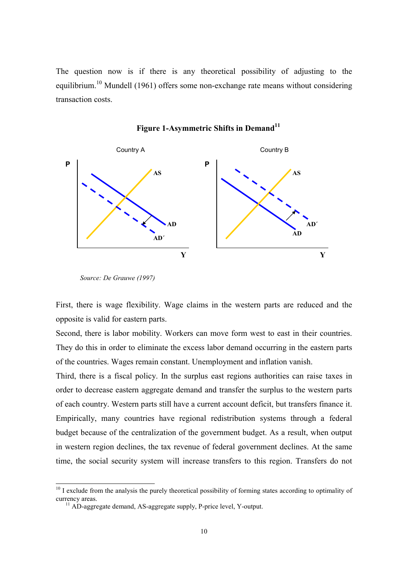The question now is if there is any theoretical possibility of adjusting to the equilibrium.<sup>10</sup> Mundell (1961) offers some non-exchange rate means without considering transaction costs.



# Figure 1-Asymmetric Shifts in Demand<sup>11</sup>

 $\overline{a}$ 

First, there is wage flexibility. Wage claims in the western parts are reduced and the opposite is valid for eastern parts.

Second, there is labor mobility. Workers can move form west to east in their countries. They do this in order to eliminate the excess labor demand occurring in the eastern parts of the countries. Wages remain constant. Unemployment and inflation vanish.

Third, there is a fiscal policy. In the surplus east regions authorities can raise taxes in order to decrease eastern aggregate demand and transfer the surplus to the western parts of each country. Western parts still have a current account deficit, but transfers finance it. Empirically, many countries have regional redistribution systems through a federal budget because of the centralization of the government budget. As a result, when output in western region declines, the tax revenue of federal government declines. At the same time, the social security system will increase transfers to this region. Transfers do not

*Source: De Grauwe (1997)*

<sup>&</sup>lt;sup>10</sup> I exclude from the analysis the purely theoretical possibility of forming states according to optimality of currency areas. 11 AD-aggregate demand, AS-aggregate supply, P-price level, Y-output.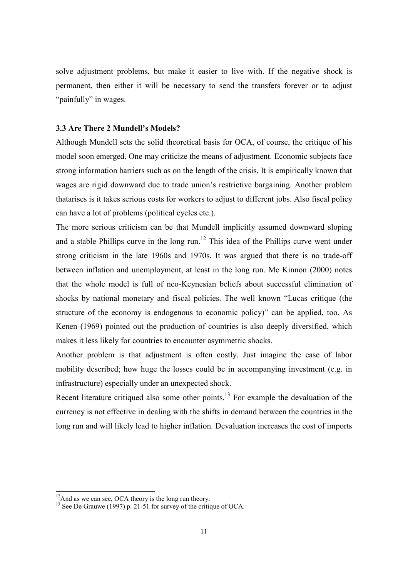solve adjustment problems, but make it easier to live with. If the negative shock is permanent, then either it will be necessary to send the transfers forever or to adjust "painfully" in wages.

#### **3.3 Are There 2 Mundell's Models?**

Although Mundell sets the solid theoretical basis for OCA, of course, the critique of his model soon emerged. One may criticize the means of adjustment. Economic subjects face strong information barriers such as on the length of the crisis. It is empirically known that wages are rigid downward due to trade union's restrictive bargaining. Another problem thatarises is it takes serious costs for workers to adjust to different jobs. Also fiscal policy can have a lot of problems (political cycles etc.).

The more serious criticism can be that Mundell implicitly assumed downward sloping and a stable Phillips curve in the long run.<sup>12</sup> This idea of the Phillips curve went under strong criticism in the late 1960s and 1970s. It was argued that there is no trade-off between inflation and unemployment, at least in the long run. Mc Kinnon (2000) notes that the whole model is full of neo-Keynesian beliefs about successful elimination of shocks by national monetary and fiscal policies. The well known "Lucas critique (the structure of the economy is endogenous to economic policy)" can be applied, too. As Kenen (1969) pointed out the production of countries is also deeply diversified, which makes it less likely for countries to encounter asymmetric shocks.

Another problem is that adjustment is often costly. Just imagine the case of labor mobility described; how huge the losses could be in accompanying investment (e.g. in infrastructure) especially under an unexpected shock.

Recent literature critiqued also some other points.<sup>13</sup> For example the devaluation of the currency is not effective in dealing with the shifts in demand between the countries in the long run and will likely lead to higher inflation. Devaluation increases the cost of imports

 $12$ And as we can see, OCA theory is the long run theory.

<sup>&</sup>lt;sup>13</sup> See De Grauwe (1997) p. 21-51 for survey of the critique of OCA.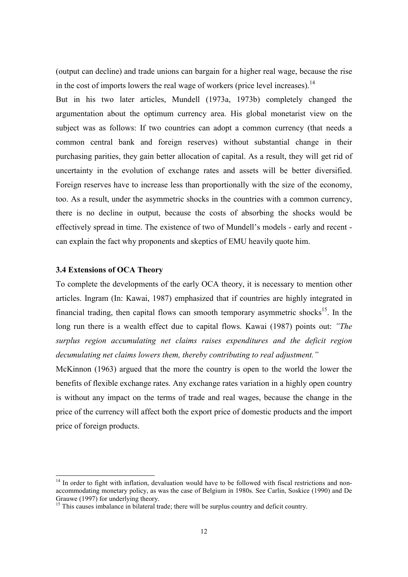(output can decline) and trade unions can bargain for a higher real wage, because the rise in the cost of imports lowers the real wage of workers (price level increases).<sup>14</sup>

But in his two later articles, Mundell (1973a, 1973b) completely changed the argumentation about the optimum currency area. His global monetarist view on the subject was as follows: If two countries can adopt a common currency (that needs a common central bank and foreign reserves) without substantial change in their purchasing parities, they gain better allocation of capital. As a result, they will get rid of uncertainty in the evolution of exchange rates and assets will be better diversified. Foreign reserves have to increase less than proportionally with the size of the economy, too. As a result, under the asymmetric shocks in the countries with a common currency, there is no decline in output, because the costs of absorbing the shocks would be effectively spread in time. The existence of two of Mundell's models - early and recent can explain the fact why proponents and skeptics of EMU heavily quote him.

#### **3.4 Extensions of OCA Theory**

 $\overline{a}$ 

To complete the developments of the early OCA theory, it is necessary to mention other articles. Ingram (In: Kawai, 1987) emphasized that if countries are highly integrated in financial trading, then capital flows can smooth temporary asymmetric shocks<sup>15</sup>. In the long run there is a wealth effect due to capital flows. Kawai (1987) points out: *"The surplus region accumulating net claims raises expenditures and the deficit region decumulating net claims lowers them, thereby contributing to real adjustment."*

McKinnon (1963) argued that the more the country is open to the world the lower the benefits of flexible exchange rates. Any exchange rates variation in a highly open country is without any impact on the terms of trade and real wages, because the change in the price of the currency will affect both the export price of domestic products and the import price of foreign products.

<sup>&</sup>lt;sup>14</sup> In order to fight with inflation, devaluation would have to be followed with fiscal restrictions and nonaccommodating monetary policy, as was the case of Belgium in 1980s. See Carlin, Soskice (1990) and De Grauwe (1997) for underlying theory.

<sup>&</sup>lt;sup>15</sup> This causes imbalance in bilateral trade; there will be surplus country and deficit country.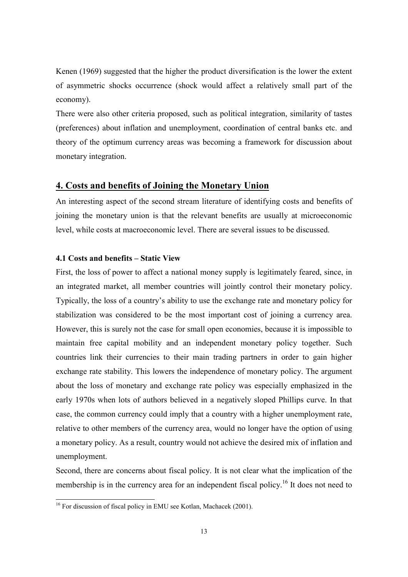Kenen (1969) suggested that the higher the product diversification is the lower the extent of asymmetric shocks occurrence (shock would affect a relatively small part of the economy).

There were also other criteria proposed, such as political integration, similarity of tastes (preferences) about inflation and unemployment, coordination of central banks etc. and theory of the optimum currency areas was becoming a framework for discussion about monetary integration.

## **4. Costs and benefits of Joining the Monetary Union**

An interesting aspect of the second stream literature of identifying costs and benefits of joining the monetary union is that the relevant benefits are usually at microeconomic level, while costs at macroeconomic level. There are several issues to be discussed.

### **4.1 Costs and benefits – Static View**

First, the loss of power to affect a national money supply is legitimately feared, since, in an integrated market, all member countries will jointly control their monetary policy. Typically, the loss of a country's ability to use the exchange rate and monetary policy for stabilization was considered to be the most important cost of joining a currency area. However, this is surely not the case for small open economies, because it is impossible to maintain free capital mobility and an independent monetary policy together. Such countries link their currencies to their main trading partners in order to gain higher exchange rate stability. This lowers the independence of monetary policy. The argument about the loss of monetary and exchange rate policy was especially emphasized in the early 1970s when lots of authors believed in a negatively sloped Phillips curve. In that case, the common currency could imply that a country with a higher unemployment rate, relative to other members of the currency area, would no longer have the option of using a monetary policy. As a result, country would not achieve the desired mix of inflation and unemployment.

Second, there are concerns about fiscal policy. It is not clear what the implication of the membership is in the currency area for an independent fiscal policy.<sup>16</sup> It does not need to

l

<sup>&</sup>lt;sup>16</sup> For discussion of fiscal policy in EMU see Kotlan, Machacek (2001).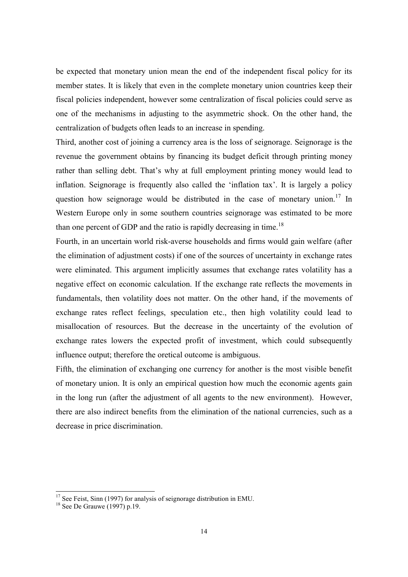be expected that monetary union mean the end of the independent fiscal policy for its member states. It is likely that even in the complete monetary union countries keep their fiscal policies independent, however some centralization of fiscal policies could serve as one of the mechanisms in adjusting to the asymmetric shock. On the other hand, the centralization of budgets often leads to an increase in spending.

Third, another cost of joining a currency area is the loss of seignorage. Seignorage is the revenue the government obtains by financing its budget deficit through printing money rather than selling debt. That's why at full employment printing money would lead to inflation. Seignorage is frequently also called the 'inflation tax'. It is largely a policy question how seignorage would be distributed in the case of monetary union.<sup>17</sup> In Western Europe only in some southern countries seignorage was estimated to be more than one percent of GDP and the ratio is rapidly decreasing in time.<sup>18</sup>

Fourth, in an uncertain world risk-averse households and firms would gain welfare (after the elimination of adjustment costs) if one of the sources of uncertainty in exchange rates were eliminated. This argument implicitly assumes that exchange rates volatility has a negative effect on economic calculation. If the exchange rate reflects the movements in fundamentals, then volatility does not matter. On the other hand, if the movements of exchange rates reflect feelings, speculation etc., then high volatility could lead to misallocation of resources. But the decrease in the uncertainty of the evolution of exchange rates lowers the expected profit of investment, which could subsequently influence output; therefore the oretical outcome is ambiguous.

Fifth, the elimination of exchanging one currency for another is the most visible benefit of monetary union. It is only an empirical question how much the economic agents gain in the long run (after the adjustment of all agents to the new environment). However, there are also indirect benefits from the elimination of the national currencies, such as a decrease in price discrimination.

 $17$  See Feist, Sinn (1997) for analysis of seignorage distribution in EMU.

<sup>&</sup>lt;sup>18</sup> See De Grauwe (1997) p.19.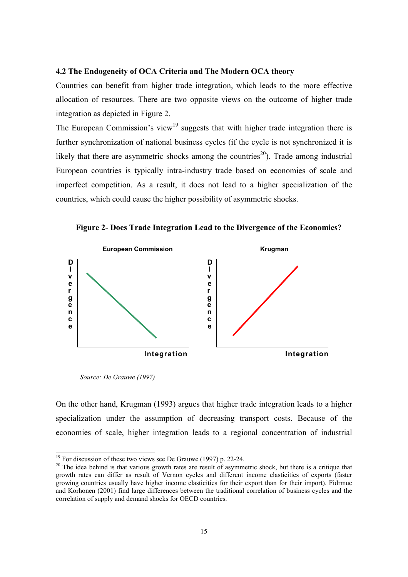#### **4.2 The Endogeneity of OCA Criteria and The Modern OCA theory**

Countries can benefit from higher trade integration, which leads to the more effective allocation of resources. There are two opposite views on the outcome of higher trade integration as depicted in Figure 2.

The European Commission's view<sup>19</sup> suggests that with higher trade integration there is further synchronization of national business cycles (if the cycle is not synchronized it is likely that there are asymmetric shocks among the countries<sup>20</sup>). Trade among industrial European countries is typically intra-industry trade based on economies of scale and imperfect competition. As a result, it does not lead to a higher specialization of the countries, which could cause the higher possibility of asymmetric shocks.

**Figure 2- Does Trade Integration Lead to the Divergence of the Economies?**



*Source: De Grauwe (1997)*

l

On the other hand, Krugman (1993) argues that higher trade integration leads to a higher specialization under the assumption of decreasing transport costs. Because of the economies of scale, higher integration leads to a regional concentration of industrial

 $19$  For discussion of these two views see De Grauwe (1997) p. 22-24.

<sup>&</sup>lt;sup>20</sup> The idea behind is that various growth rates are result of asymmetric shock, but there is a critique that growth rates can differ as result of Vernon cycles and different income elasticities of exports (faster growing countries usually have higher income elasticities for their export than for their import). Fidrmuc and Korhonen (2001) find large differences between the traditional correlation of business cycles and the correlation of supply and demand shocks for OECD countries.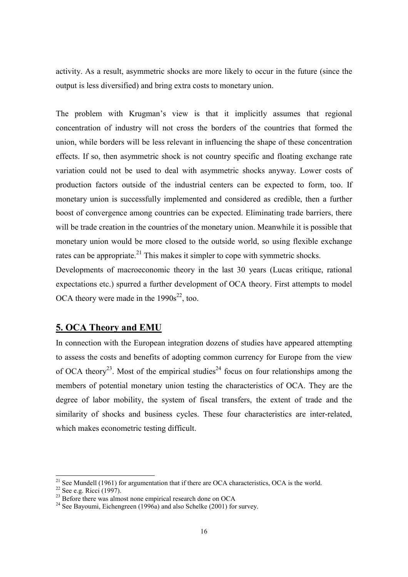activity. As a result, asymmetric shocks are more likely to occur in the future (since the output is less diversified) and bring extra costs to monetary union.

The problem with Krugman's view is that it implicitly assumes that regional concentration of industry will not cross the borders of the countries that formed the union, while borders will be less relevant in influencing the shape of these concentration effects. If so, then asymmetric shock is not country specific and floating exchange rate variation could not be used to deal with asymmetric shocks anyway. Lower costs of production factors outside of the industrial centers can be expected to form, too. If monetary union is successfully implemented and considered as credible, then a further boost of convergence among countries can be expected. Eliminating trade barriers, there will be trade creation in the countries of the monetary union. Meanwhile it is possible that monetary union would be more closed to the outside world, so using flexible exchange rates can be appropriate.<sup>21</sup> This makes it simpler to cope with symmetric shocks.

Developments of macroeconomic theory in the last 30 years (Lucas critique, rational expectations etc.) spurred a further development of OCA theory. First attempts to model OCA theory were made in the  $1990s^{22}$ , too.

# **5. OCA Theory and EMU**

In connection with the European integration dozens of studies have appeared attempting to assess the costs and benefits of adopting common currency for Europe from the view of OCA theory<sup>23</sup>. Most of the empirical studies<sup>24</sup> focus on four relationships among the members of potential monetary union testing the characteristics of OCA. They are the degree of labor mobility, the system of fiscal transfers, the extent of trade and the similarity of shocks and business cycles. These four characteristics are inter-related, which makes econometric testing difficult.

<sup>&</sup>lt;sup>21</sup> See Mundell (1961) for argumentation that if there are OCA characteristics, OCA is the world.

 $22$  See e.g. Ricci (1997).

 $23$  Before there was almost none empirical research done on OCA

<sup>&</sup>lt;sup>24</sup> See Bayoumi, Eichengreen (1996a) and also Schelke (2001) for survey.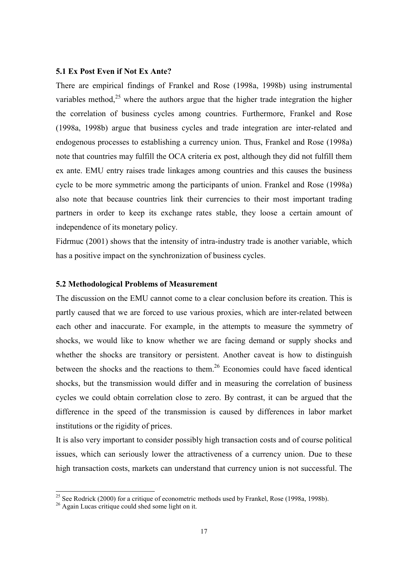#### **5.1 Ex Post Even if Not Ex Ante?**

There are empirical findings of Frankel and Rose (1998a, 1998b) using instrumental variables method,<sup>25</sup> where the authors argue that the higher trade integration the higher the correlation of business cycles among countries. Furthermore, Frankel and Rose (1998a, 1998b) argue that business cycles and trade integration are inter-related and endogenous processes to establishing a currency union. Thus, Frankel and Rose (1998a) note that countries may fulfill the OCA criteria ex post, although they did not fulfill them ex ante. EMU entry raises trade linkages among countries and this causes the business cycle to be more symmetric among the participants of union. Frankel and Rose (1998a) also note that because countries link their currencies to their most important trading partners in order to keep its exchange rates stable, they loose a certain amount of independence of its monetary policy.

Fidrmuc (2001) shows that the intensity of intra-industry trade is another variable, which has a positive impact on the synchronization of business cycles.

#### **5.2 Methodological Problems of Measurement**

The discussion on the EMU cannot come to a clear conclusion before its creation. This is partly caused that we are forced to use various proxies, which are inter-related between each other and inaccurate. For example, in the attempts to measure the symmetry of shocks, we would like to know whether we are facing demand or supply shocks and whether the shocks are transitory or persistent. Another caveat is how to distinguish between the shocks and the reactions to them.<sup>26</sup> Economies could have faced identical shocks, but the transmission would differ and in measuring the correlation of business cycles we could obtain correlation close to zero. By contrast, it can be argued that the difference in the speed of the transmission is caused by differences in labor market institutions or the rigidity of prices.

It is also very important to consider possibly high transaction costs and of course political issues, which can seriously lower the attractiveness of a currency union. Due to these high transaction costs, markets can understand that currency union is not successful. The

<sup>&</sup>lt;sup>25</sup> See Rodrick (2000) for a critique of econometric methods used by Frankel, Rose (1998a, 1998b).

 $26$  Again Lucas critique could shed some light on it.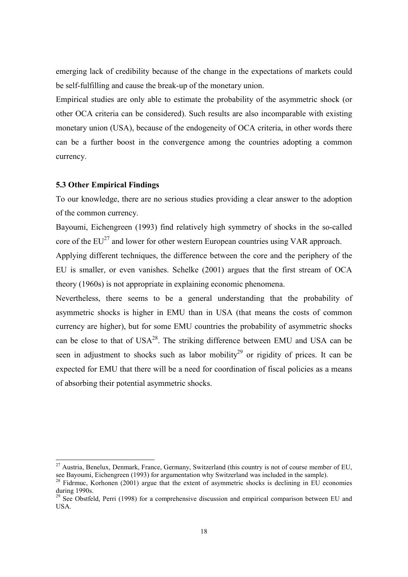emerging lack of credibility because of the change in the expectations of markets could be self-fulfilling and cause the break-up of the monetary union.

Empirical studies are only able to estimate the probability of the asymmetric shock (or other OCA criteria can be considered). Such results are also incomparable with existing monetary union (USA), because of the endogeneity of OCA criteria, in other words there can be a further boost in the convergence among the countries adopting a common currency.

#### **5.3 Other Empirical Findings**

 $\overline{a}$ 

To our knowledge, there are no serious studies providing a clear answer to the adoption of the common currency.

Bayoumi, Eichengreen (1993) find relatively high symmetry of shocks in the so-called core of the  $EU^{27}$  and lower for other western European countries using VAR approach.

Applying different techniques, the difference between the core and the periphery of the EU is smaller, or even vanishes. Schelke (2001) argues that the first stream of OCA theory (1960s) is not appropriate in explaining economic phenomena.

Nevertheless, there seems to be a general understanding that the probability of asymmetric shocks is higher in EMU than in USA (that means the costs of common currency are higher), but for some EMU countries the probability of asymmetric shocks can be close to that of  $USA^{28}$ . The striking difference between EMU and USA can be seen in adjustment to shocks such as labor mobility<sup>29</sup> or rigidity of prices. It can be expected for EMU that there will be a need for coordination of fiscal policies as a means of absorbing their potential asymmetric shocks.

<sup>&</sup>lt;sup>27</sup> Austria, Benelux, Denmark, France, Germany, Switzerland (this country is not of course member of EU, see Bayoumi, Eichengreen (1993) for argumentation why Switzerland was included in the sample).

 $^{28}$  Fidrmuc, Korhonen (2001) argue that the extent of asymmetric shocks is declining in EU economies during 1990s.

 $29$  See Obstfeld, Perri (1998) for a comprehensive discussion and empirical comparison between EU and USA.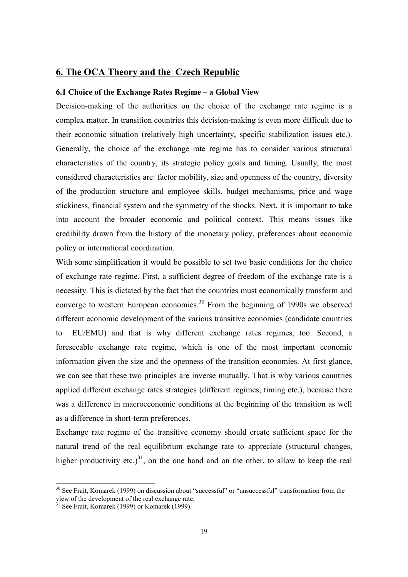## **6. The OCA Theory and the Czech Republic**

#### **6.1 Choice of the Exchange Rates Regime – a Global View**

Decision-making of the authorities on the choice of the exchange rate regime is a complex matter. In transition countries this decision-making is even more difficult due to their economic situation (relatively high uncertainty, specific stabilization issues etc.). Generally, the choice of the exchange rate regime has to consider various structural characteristics of the country, its strategic policy goals and timing. Usually, the most considered characteristics are: factor mobility, size and openness of the country, diversity of the production structure and employee skills, budget mechanisms, price and wage stickiness, financial system and the symmetry of the shocks. Next, it is important to take into account the broader economic and political context. This means issues like credibility drawn from the history of the monetary policy, preferences about economic policy or international coordination.

With some simplification it would be possible to set two basic conditions for the choice of exchange rate regime. First, a sufficient degree of freedom of the exchange rate is a necessity. This is dictated by the fact that the countries must economically transform and converge to western European economies.<sup>30</sup> From the beginning of 1990s we observed different economic development of the various transitive economies (candidate countries to EU/EMU) and that is why different exchange rates regimes, too. Second, a foreseeable exchange rate regime, which is one of the most important economic information given the size and the openness of the transition economies. At first glance, we can see that these two principles are inverse mutually. That is why various countries applied different exchange rates strategies (different regimes, timing etc.), because there was a difference in macroeconomic conditions at the beginning of the transition as well as a difference in short-term preferences.

Exchange rate regime of the transitive economy should create sufficient space for the natural trend of the real equilibrium exchange rate to appreciate (structural changes, higher productivity etc.)<sup>31</sup>, on the one hand and on the other, to allow to keep the real

<sup>&</sup>lt;sup>30</sup> See Frait, Komarek (1999) on discussion about "successful" or "unsuccessful" transformation from the view of the development of the real exchange rate.

 $31$  See Frait, Komarek (1999) or Komarek (1999).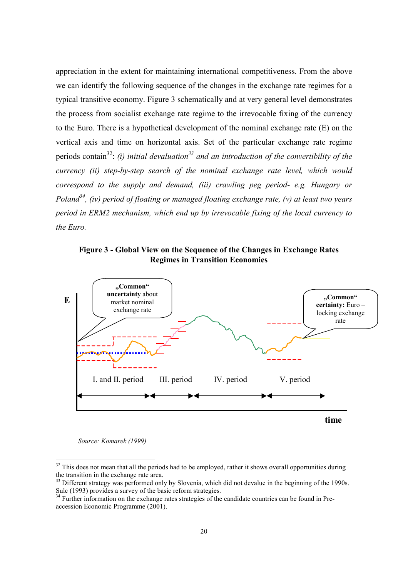appreciation in the extent for maintaining international competitiveness. From the above we can identify the following sequence of the changes in the exchange rate regimes for a typical transitive economy. Figure 3 schematically and at very general level demonstrates the process from socialist exchange rate regime to the irrevocable fixing of the currency to the Euro. There is a hypothetical development of the nominal exchange rate (E) on the vertical axis and time on horizontal axis. Set of the particular exchange rate regime periods contain<sup>32</sup>: *(i) initial devaluation*<sup>33</sup> and an introduction of the convertibility of the *currency (ii) step-by-step search of the nominal exchange rate level, which would correspond to the supply and demand, (iii) crawling peg period- e.g. Hungary or Poland34, (iv) period of floating or managed floating exchange rate, (v) at least two years period in ERM2 mechanism, which end up by irrevocable fixing of the local currency to the Euro.*

**Figure 3 - Global View on the Sequence of the Changes in Exchange Rates Regimes in Transition Economies**



 *Source: Komarek (1999)*

 $32$  This does not mean that all the periods had to be employed, rather it shows overall opportunities during the transition in the exchange rate area.

<sup>&</sup>lt;sup>33</sup> Different strategy was performed only by Slovenia, which did not devalue in the beginning of the 1990s. Sulc (1993) provides a survey of the basic reform strategies.

<sup>&</sup>lt;sup>34</sup> Further information on the exchange rates strategies of the candidate countries can be found in Preaccession Economic Programme (2001).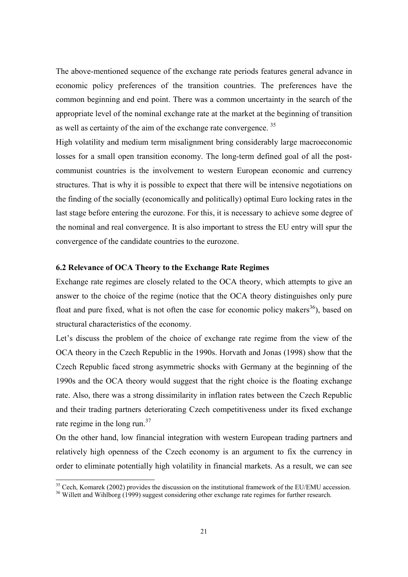The above-mentioned sequence of the exchange rate periods features general advance in economic policy preferences of the transition countries. The preferences have the common beginning and end point. There was a common uncertainty in the search of the appropriate level of the nominal exchange rate at the market at the beginning of transition as well as certainty of the aim of the exchange rate convergence. <sup>35</sup>

High volatility and medium term misalignment bring considerably large macroeconomic losses for a small open transition economy. The long-term defined goal of all the postcommunist countries is the involvement to western European economic and currency structures. That is why it is possible to expect that there will be intensive negotiations on the finding of the socially (economically and politically) optimal Euro locking rates in the last stage before entering the eurozone. For this, it is necessary to achieve some degree of the nominal and real convergence. It is also important to stress the EU entry will spur the convergence of the candidate countries to the eurozone.

## **6.2 Relevance of OCA Theory to the Exchange Rate Regimes**

Exchange rate regimes are closely related to the OCA theory, which attempts to give an answer to the choice of the regime (notice that the OCA theory distinguishes only pure float and pure fixed, what is not often the case for economic policy makers<sup>36</sup>), based on structural characteristics of the economy.

Let's discuss the problem of the choice of exchange rate regime from the view of the OCA theory in the Czech Republic in the 1990s. Horvath and Jonas (1998) show that the Czech Republic faced strong asymmetric shocks with Germany at the beginning of the 1990s and the OCA theory would suggest that the right choice is the floating exchange rate. Also, there was a strong dissimilarity in inflation rates between the Czech Republic and their trading partners deteriorating Czech competitiveness under its fixed exchange rate regime in the long run. $37$ 

On the other hand, low financial integration with western European trading partners and relatively high openness of the Czech economy is an argument to fix the currency in order to eliminate potentially high volatility in financial markets. As a result, we can see

<sup>&</sup>lt;sup>35</sup> Cech, Komarek (2002) provides the discussion on the institutional framework of the EU/EMU accession.  $^{36}$  Willett and Wihlborg (1999) suggest considering other exchange rate regimes for further research.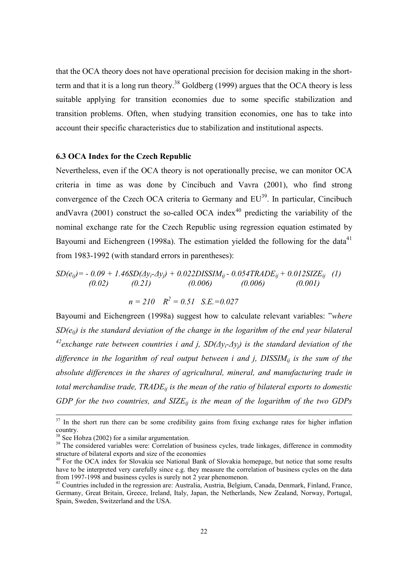that the OCA theory does not have operational precision for decision making in the shortterm and that it is a long run theory.<sup>38</sup> Goldberg (1999) argues that the OCA theory is less suitable applying for transition economies due to some specific stabilization and transition problems. Often, when studying transition economies, one has to take into account their specific characteristics due to stabilization and institutional aspects.

#### **6.3 OCA Index for the Czech Republic**

Nevertheless, even if the OCA theory is not operationally precise, we can monitor OCA criteria in time as was done by Cincibuch and Vavra (2001), who find strong convergence of the Czech OCA criteria to Germany and  $EU^{39}$ . In particular, Cincibuch andVavra (2001) construct the so-called OCA index<sup>40</sup> predicting the variability of the nominal exchange rate for the Czech Republic using regression equation estimated by Bayoumi and Eichengreen (1998a). The estimation yielded the following for the data<sup>41</sup> from 1983-1992 (with standard errors in parentheses):

$$
SD(e_{ij}) = -0.09 + 1.46SD(\Delta y_i - \Delta y_j) + 0.022DISSIM_{ij} - 0.054TRADE_{ij} + 0.012SIZE_{ij}
$$
 (1)  
(0.02) (0.21) (0.006) (0.006) (0.001)  

$$
n = 210 \quad R^2 = 0.51 \quad S.E. = 0.027
$$

Bayoumi and Eichengreen (1998a) suggest how to calculate relevant variables: "*where SD(eij) is the standard deviation of the change in the logarithm of the end year bilateral 42exchange rate between countries i and j, SD(∆yi-∆yj) is the standard deviation of the* difference in the logarithm of real output between *i* and *j*, DISSIM<sub>ij</sub> is the sum of the *absolute differences in the shares of agricultural, mineral, and manufacturing trade in total merchandise trade, TRADEij is the mean of the ratio of bilateral exports to domestic GDP for the two countries, and SIZEij is the mean of the logarithm of the two GDPs*

 $37$  In the short run there can be some credibility gains from fixing exchange rates for higher inflation country.

<sup>&</sup>lt;sup>38</sup> See Hobza (2002) for a similar argumentation.

<sup>&</sup>lt;sup>39</sup> The considered variables were: Correlation of business cycles, trade linkages, difference in commodity structure of bilateral exports and size of the economies

<sup>&</sup>lt;sup>40</sup> For the OCA index for Slovakia see National Bank of Slovakia homepage, but notice that some results have to be interpreted very carefully since e.g. they measure the correlation of business cycles on the data from 1997-1998 and business cycles is surely not 2 year phenomenon.

<sup>&</sup>lt;sup>41</sup> Countries included in the regression are: Australia, Austria, Belgium, Canada, Denmark, Finland, France, Germany, Great Britain, Greece, Ireland, Italy, Japan, the Netherlands, New Zealand, Norway, Portugal, Spain, Sweden, Switzerland and the USA.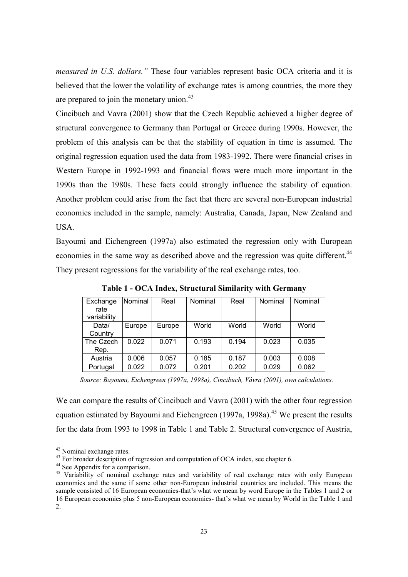*measured in U.S. dollars."* These four variables represent basic OCA criteria and it is believed that the lower the volatility of exchange rates is among countries, the more they are prepared to join the monetary union.<sup>43</sup>

Cincibuch and Vavra (2001) show that the Czech Republic achieved a higher degree of structural convergence to Germany than Portugal or Greece during 1990s. However, the problem of this analysis can be that the stability of equation in time is assumed. The original regression equation used the data from 1983-1992. There were financial crises in Western Europe in 1992-1993 and financial flows were much more important in the 1990s than the 1980s. These facts could strongly influence the stability of equation. Another problem could arise from the fact that there are several non-European industrial economies included in the sample, namely: Australia, Canada, Japan, New Zealand and USA.

Bayoumi and Eichengreen (1997a) also estimated the regression only with European economies in the same way as described above and the regression was quite different.<sup>44</sup> They present regressions for the variability of the real exchange rates, too.

| Exchange<br>rate<br>variability | Nominal | Real   | Nominal | Real  | Nominal | Nominal |
|---------------------------------|---------|--------|---------|-------|---------|---------|
| Data/<br>Country                | Europe  | Europe | World   | World | World   | World   |
| The Czech<br>Rep.               | 0.022   | 0.071  | 0.193   | 0.194 | 0.023   | 0.035   |
| Austria                         | 0.006   | 0.057  | 0.185   | 0.187 | 0.003   | 0.008   |
| Portugal                        | 0.022   | 0.072  | 0.201   | 0.202 | 0.029   | 0.062   |

**Table 1 - OCA Index, Structural Similarity with Germany**

*Source: Bayoumi, Eichengreen (1997a, 1998a), Cincibuch, Vávra (2001), own calculations.*

We can compare the results of Cincibuch and Vavra (2001) with the other four regression equation estimated by Bayoumi and Eichengreen (1997a, 1998a).<sup>45</sup> We present the results for the data from 1993 to 1998 in Table 1 and Table 2. Structural convergence of Austria,

 <sup>42</sup> Nominal exchange rates.

<sup>&</sup>lt;sup>43</sup> For broader description of regression and computation of OCA index, see chapter 6.

<sup>&</sup>lt;sup>44</sup> See Appendix for a comparison.

<sup>&</sup>lt;sup>45</sup> Variability of nominal exchange rates and variability of real exchange rates with only European economies and the same if some other non-European industrial countries are included. This means the sample consisted of 16 European economies-that's what we mean by word Europe in the Tables 1 and 2 or 16 European economies plus 5 non-European economies- that's what we mean by World in the Table 1 and 2.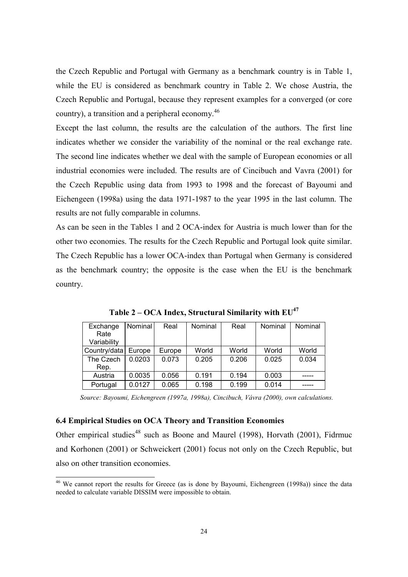the Czech Republic and Portugal with Germany as a benchmark country is in Table 1, while the EU is considered as benchmark country in Table 2. We chose Austria, the Czech Republic and Portugal, because they represent examples for a converged (or core country), a transition and a peripheral economy.<sup>46</sup>

Except the last column, the results are the calculation of the authors. The first line indicates whether we consider the variability of the nominal or the real exchange rate. The second line indicates whether we deal with the sample of European economies or all industrial economies were included. The results are of Cincibuch and Vavra (2001) for the Czech Republic using data from 1993 to 1998 and the forecast of Bayoumi and Eichengeen (1998a) using the data 1971-1987 to the year 1995 in the last column. The results are not fully comparable in columns.

As can be seen in the Tables 1 and 2 OCA-index for Austria is much lower than for the other two economies. The results for the Czech Republic and Portugal look quite similar. The Czech Republic has a lower OCA-index than Portugal when Germany is considered as the benchmark country; the opposite is the case when the EU is the benchmark country.

| Exchange<br>Rate<br>Variability | Nominal | Real   | Nominal | Real  | Nominal | Nominal |
|---------------------------------|---------|--------|---------|-------|---------|---------|
| Country/data                    | Europe  | Europe | World   | World | World   | World   |
| The Czech                       | 0.0203  | 0.073  | 0.205   | 0.206 | 0.025   | 0.034   |
| Rep.                            |         |        |         |       |         |         |
| Austria                         | 0.0035  | 0.056  | 0.191   | 0.194 | 0.003   |         |
| Portugal                        | 0.0127  | 0.065  | 0.198   | 0.199 | 0.014   |         |

Table 2 – OCA Index, Structural Similarity with  $EU^{47}$ 

*Source: Bayoumi, Eichengreen (1997a, 1998a), Cincibuch, Vávra (2000), own calculations.*

#### **6.4 Empirical Studies on OCA Theory and Transition Economies**

 $\overline{a}$ 

Other empirical studies<sup>48</sup> such as Boone and Maurel (1998), Horvath (2001), Fidrmuc and Korhonen (2001) or Schweickert (2001) focus not only on the Czech Republic, but also on other transition economies.

<sup>&</sup>lt;sup>46</sup> We cannot report the results for Greece (as is done by Bayoumi, Eichengreen (1998a)) since the data needed to calculate variable DISSIM were impossible to obtain.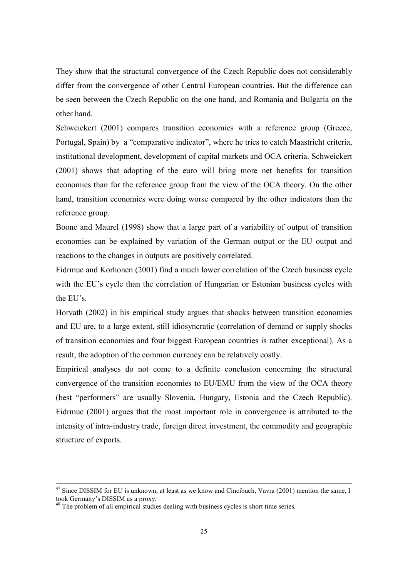They show that the structural convergence of the Czech Republic does not considerably differ from the convergence of other Central European countries. But the difference can be seen between the Czech Republic on the one hand, and Romania and Bulgaria on the other hand.

Schweickert (2001) compares transition economies with a reference group (Greece, Portugal, Spain) by a "comparative indicator", where he tries to catch Maastricht criteria, institutional development, development of capital markets and OCA criteria. Schweickert (2001) shows that adopting of the euro will bring more net benefits for transition economies than for the reference group from the view of the OCA theory. On the other hand, transition economies were doing worse compared by the other indicators than the reference group.

Boone and Maurel (1998) show that a large part of a variability of output of transition economies can be explained by variation of the German output or the EU output and reactions to the changes in outputs are positively correlated.

Fidrmuc and Korhonen (2001) find a much lower correlation of the Czech business cycle with the EU's cycle than the correlation of Hungarian or Estonian business cycles with the EU's.

Horvath (2002) in his empirical study argues that shocks between transition economies and EU are, to a large extent, still idiosyncratic (correlation of demand or supply shocks of transition economies and four biggest European countries is rather exceptional). As a result, the adoption of the common currency can be relatively costly.

Empirical analyses do not come to a definite conclusion concerning the structural convergence of the transition economies to EU/EMU from the view of the OCA theory (best "performers" are usually Slovenia, Hungary, Estonia and the Czech Republic). Fidrmuc (2001) argues that the most important role in convergence is attributed to the intensity of intra-industry trade, foreign direct investment, the commodity and geographic structure of exports.

<sup>&</sup>lt;sup>47</sup> Since DISSIM for EU is unknown, at least as we know and Cincibuch, Vavra (2001) mention the same, I took Germany's DISSIM as a proxy.

<sup>&</sup>lt;sup>48</sup> The problem of all empirical studies dealing with business cycles is short time series.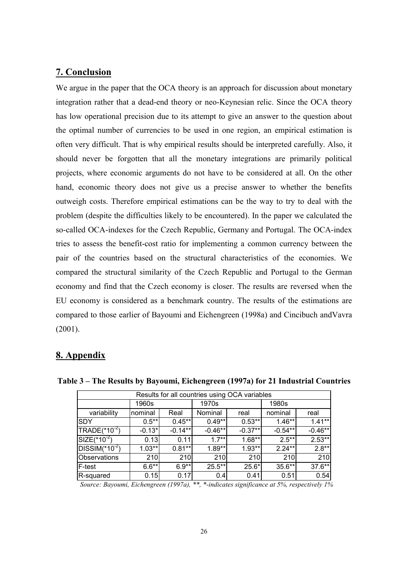# **7. Conclusion**

We argue in the paper that the OCA theory is an approach for discussion about monetary integration rather that a dead-end theory or neo-Keynesian relic. Since the OCA theory has low operational precision due to its attempt to give an answer to the question about the optimal number of currencies to be used in one region, an empirical estimation is often very difficult. That is why empirical results should be interpreted carefully. Also, it should never be forgotten that all the monetary integrations are primarily political projects, where economic arguments do not have to be considered at all. On the other hand, economic theory does not give us a precise answer to whether the benefits outweigh costs. Therefore empirical estimations can be the way to try to deal with the problem (despite the difficulties likely to be encountered). In the paper we calculated the so-called OCA-indexes for the Czech Republic, Germany and Portugal. The OCA-index tries to assess the benefit-cost ratio for implementing a common currency between the pair of the countries based on the structural characteristics of the economies. We compared the structural similarity of the Czech Republic and Portugal to the German economy and find that the Czech economy is closer. The results are reversed when the EU economy is considered as a benchmark country. The results of the estimations are compared to those earlier of Bayoumi and Eichengreen (1998a) and Cincibuch andVavra (2001).

# **8. Appendix**

| Results for all countries using OCA variables                                                                                                                                                                                                                                                                                                                        |          |           |           |           |           |           |  |
|----------------------------------------------------------------------------------------------------------------------------------------------------------------------------------------------------------------------------------------------------------------------------------------------------------------------------------------------------------------------|----------|-----------|-----------|-----------|-----------|-----------|--|
|                                                                                                                                                                                                                                                                                                                                                                      | 1960s    |           | 1970s     |           | 1980s     |           |  |
| variability                                                                                                                                                                                                                                                                                                                                                          | nominal  | Real      | Nominal   | real      | nominal   | real      |  |
| ISDY                                                                                                                                                                                                                                                                                                                                                                 | $0.5***$ | $0.45**$  | $0.49**$  | $0.53***$ | $1.46**$  | $1.41***$ |  |
| $TRADE(*10-2)$                                                                                                                                                                                                                                                                                                                                                       | $-0.13*$ | $-0.14**$ | $-0.46**$ | $-0.37**$ | $-0.54**$ | $-0.46**$ |  |
| $SIZE(*10^{-2})$                                                                                                                                                                                                                                                                                                                                                     | 0.13     | 0.11      | $1.7**$   | $1.68**$  | $2.5**$   | $2.53**$  |  |
| $DISSIM(^{*}10^{-2})$                                                                                                                                                                                                                                                                                                                                                | $1.03**$ | $0.81**$  | $1.89**$  | $1.93**$  | $2.24**$  | $2.8**$   |  |
| Observations                                                                                                                                                                                                                                                                                                                                                         | 210      | 210       | 210       | 210       | 210       | 210       |  |
| F-test                                                                                                                                                                                                                                                                                                                                                               | $6.6**$  | $6.9**$   | $25.5**$  | $25.6*$   | $35.6**$  | $37.6***$ |  |
| R-squared                                                                                                                                                                                                                                                                                                                                                            | 0.15     | 0.17      | 0.4       | 0.41      | 0.51      | 0.54      |  |
| $S_{\text{out}}$ $D_{\text{out}}$ $D_{\text{out}}$ $D_{\text{out}}$ $D_{\text{out}}$ $D_{\text{out}}$ $D_{\text{out}}$ $\mathcal{L}$ $\mathcal{L}$ $\mathcal{L}$ $\mathcal{L}$ $\mathcal{L}$ $\mathcal{L}$ $\mathcal{L}$ $\mathcal{L}$ $\mathcal{L}$ $\mathcal{L}$ $\mathcal{L}$ $\mathcal{L}$ $\mathcal{L}$ $\mathcal{L}$ $\mathcal{L}$ $\mathcal{L}$ $\mathcal{L}$ |          |           |           |           |           |           |  |

**Table 3 – The Results by Bayoumi, Eichengreen (1997a) for 21 Industrial Countries**

*Source: Bayoumi, Eichengreen (1997a), \*\*, \*-indicates significance at 5%, respectively 1%*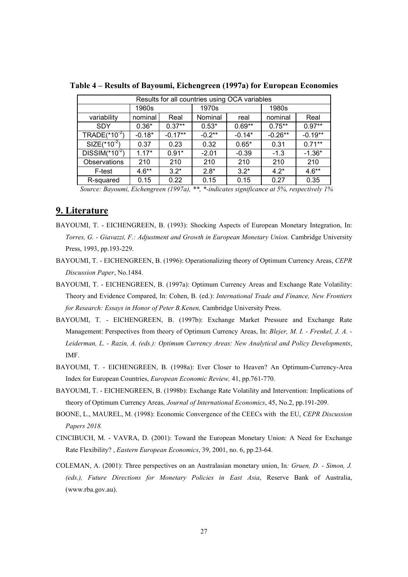| Results for all countries using OCA variables |          |           |          |          |           |           |
|-----------------------------------------------|----------|-----------|----------|----------|-----------|-----------|
|                                               | 1960s    |           | 1970s    |          | 1980s     |           |
| variability                                   | nominal  | Real      | Nominal  | real     | nominal   | Real      |
| <b>SDY</b>                                    | $0.36*$  | $0.37**$  | $0.53*$  | $0.69**$ | $0.75***$ | $0.97**$  |
| TRADE $(*10^{-2})$                            | $-0.18*$ | $-0.17**$ | $-0.2**$ | $-0.14*$ | $-0.26**$ | $-0.19**$ |
| $SIZE$ <sup>*</sup> 10 <sup>-2</sup> )        | 0.37     | 0.23      | 0.32     | $0.65*$  | 0.31      | $0.71***$ |
| $DISSIM(^{*}10^{-2})$                         | $1.17*$  | $0.91*$   | $-2.01$  | $-0.39$  | $-1.3$    | $-1.36*$  |
| Observations                                  | 210      | 210       | 210      | 210      | 210       | 210       |
| F-test                                        | $4.6**$  | $3.2*$    | $2.8*$   | $3.2*$   | $4.2*$    | $4.6**$   |
| R-squared                                     | 0.15     | 0.22      | 0.15     | 0.15     | 0.27      | 0.35      |

**Table 4 – Results of Bayoumi, Eichengreen (1997a) for European Economies**

*Source: Bayoumi, Eichengreen (1997a), \*\*, \*-indicates significance at 5%, respectively 1%*

#### **9. Literature**

- BAYOUMI, T. EICHENGREEN, B. (1993): Shocking Aspects of European Monetary Integration, In: *Torres, G. - Giavazzi, F.: Adjustment and Growth in European Monetary Union.* Cambridge University Press, 1993, pp.193-229.
- BAYOUMI, T. EICHENGREEN, B. (1996): Operationalizing theory of Optimum Currency Areas, *CEPR Discussion Paper*, No.1484.
- BAYOUMI, T. EICHENGREEN, B. (1997a): Optimum Currency Areas and Exchange Rate Volatility: Theory and Evidence Compared, In: Cohen, B. (ed.): *International Trade and Finance, New Frontiers for Research: Essays in Honor of Peter B.Kenen,* Cambridge University Press.
- BAYOUMI, T. EICHENGREEN, B. (1997b): Exchange Market Pressure and Exchange Rate Management: Perspectives from theory of Optimum Currency Areas, In: *Blejer, M. I. - Frenkel, J. A. - Leiderman, L. - Razin, A. (eds.): Optimum Currency Areas: New Analytical and Policy Developments*, IMF.
- BAYOUMI, T. EICHENGREEN, B. (1998a): Ever Closer to Heaven? An Optimum-Currency-Area Index for European Countries, *European Economic Review,* 41, pp.761-770.
- BAYOUMI, T. EICHENGREEN, B. (1998b): Exchange Rate Volatility and Intervention: Implications of theory of Optimum Currency Areas*, Journal of International Economics*, 45, No.2, pp.191-209.
- BOONE, L., MAUREL, M. (1998): Economic Convergence of the CEECs with the EU, *CEPR Discussion Papers 2018.*
- CINCIBUCH, M. VAVRA, D. (2001): Toward the European Monetary Union: A Need for Exchange Rate Flexibility? , *Eastern European Economics*, 39, 2001, no. 6, pp.23-64.
- COLEMAN, A. (2001): Three perspectives on an Australasian monetary union, In*: Gruen, D. Simon, J. (eds.), Future Directions for Monetary Policies in East Asia*, Reserve Bank of Australia, (www.rba.gov.au).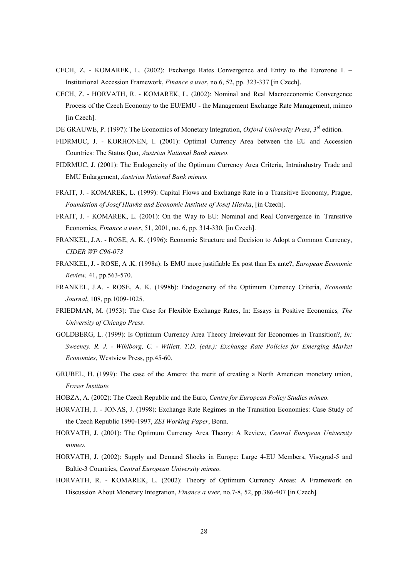- CECH, Z. KOMAREK, L. (2002): Exchange Rates Convergence and Entry to the Eurozone I. Institutional Accession Framework, *Finance a uver*, no.6, 52, pp. 323-337 [in Czech].
- CECH, Z. HORVATH, R. KOMAREK, L. (2002): Nominal and Real Macroeconomic Convergence Process of the Czech Economy to the EU/EMU - the Management Exchange Rate Management, mimeo [in Czech].
- DE GRAUWE, P. (1997): The Economics of Monetary Integration, *Oxford University Press*, 3<sup>rd</sup> edition.
- FIDRMUC, J. KORHONEN, I. (2001): Optimal Currency Area between the EU and Accession Countries: The Status Quo, *Austrian National Bank mimeo*.
- FIDRMUC, J. (2001): The Endogeneity of the Optimum Currency Area Criteria, Intraindustry Trade and EMU Enlargement, *Austrian National Bank mimeo.*
- FRAIT, J. KOMAREK, L. (1999): Capital Flows and Exchange Rate in a Transitive Economy, Prague, *Foundation of Josef Hlavka and Economic Institute of Josef Hlavka*, [in Czech].
- FRAIT, J. KOMAREK, L. (2001): On the Way to EU: Nominal and Real Convergence in Transitive Economies, *Finance a uver*, 51, 2001, no. 6, pp. 314-330, [in Czech].
- FRANKEL, J.A. ROSE, A. K. (1996): Economic Structure and Decision to Adopt a Common Currency, *CIDER WP C96-073*
- FRANKEL, J. ROSE, A .K. (1998a): Is EMU more justifiable Ex post than Ex ante?, *European Economic Review,* 41, pp.563-570.
- FRANKEL, J.A. ROSE, A. K. (1998b): Endogeneity of the Optimum Currency Criteria, *Economic Journal*, 108, pp.1009-1025.
- FRIEDMAN, M. (1953): The Case for Flexible Exchange Rates, In: Essays in Positive Economics*, The University of Chicago Press*.
- GOLDBERG, L. (1999): Is Optimum Currency Area Theory Irrelevant for Economies in Transition?, *In: Sweeney, R. J. - Wihlborg, C. - Willett, T.D. (eds.): Exchange Rate Policies for Emerging Market Economies*, Westview Press, pp.45-60.
- GRUBEL, H. (1999): The case of the Amero: the merit of creating a North American monetary union, *Fraser Institute.*
- HOBZA, A. (2002): The Czech Republic and the Euro, *Centre for European Policy Studies mimeo.*
- HORVATH, J. JONAS, J. (1998): Exchange Rate Regimes in the Transition Economies: Case Study of the Czech Republic 1990-1997, *ZEI Working Paper*, Bonn.
- HORVATH, J. (2001): The Optimum Currency Area Theory: A Review, *Central European University mimeo.*
- HORVATH, J. (2002): Supply and Demand Shocks in Europe: Large 4-EU Members, Visegrad-5 and Baltic-3 Countries, *Central European University mimeo.*
- HORVATH, R. KOMAREK, L. (2002): Theory of Optimum Currency Areas: A Framework on Discussion About Monetary Integration, *Finance a uver,* no.7-8, 52, pp.386-407 [in Czech]*.*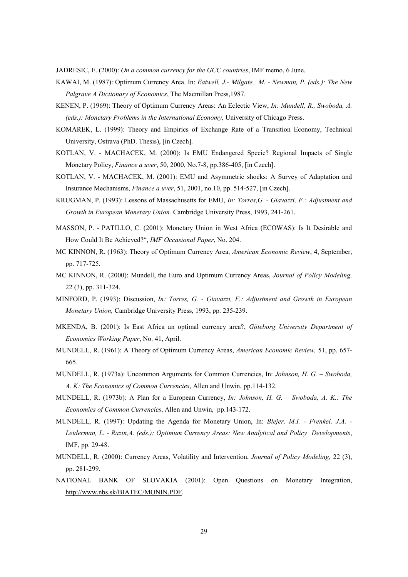JADRESIC, E. (2000): *On a common currency for the GCC countries*, IMF memo, 6 June.

- KAWAI, M. (1987): Optimum Currency Area. In: *Eatwell, J.- Milgate, M. Newman, P. (eds.): The New Palgrave A Dictionary of Economics*, The Macmillan Press,1987.
- KENEN, P. (1969): Theory of Optimum Currency Areas: An Eclectic View, *In: Mundell, R., Swoboda, A. (eds.): Monetary Problems in the International Economy,* University of Chicago Press.
- KOMAREK, L. (1999): Theory and Empirics of Exchange Rate of a Transition Economy, Technical University, Ostrava (PhD. Thesis), [in Czech].
- KOTLAN, V. MACHACEK, M. (2000): Is EMU Endangered Specie? Regional Impacts of Single Monetary Policy, *Finance a uver*, 50, 2000, No.7-8, pp.386-405, [in Czech].
- KOTLAN, V. MACHACEK, M. (2001): EMU and Asymmetric shocks: A Survey of Adaptation and Insurance Mechanisms, *Finance a uver*, 51, 2001, no.10, pp. 514-527, [in Czech].
- KRUGMAN, P. (1993): Lessons of Massachusetts for EMU, *In: Torres,G. Giavazzi, F.: Adjustment and Growth in European Monetary Union.* Cambridge University Press, 1993, 241-261.
- MASSON, P. PATILLO, C. (2001): Monetary Union in West Africa (ECOWAS): Is It Desirable and How Could It Be Achieved?", *IMF Occasional Paper*, No. 204.
- MC KINNON, R. (1963): Theory of Optimum Currency Area, *American Economic Review*, 4, September, pp. 717-725.
- MC KINNON, R. (2000): Mundell, the Euro and Optimum Currency Areas, *Journal of Policy Modeling,* 22 (3), pp. 311-324.
- MINFORD, P. (1993): Discussion, *In: Torres, G. Giavazzi, F.: Adjustment and Growth in European Monetary Union,* Cambridge University Press, 1993, pp. 235-239.
- MKENDA, B. (2001): Is East Africa an optimal currency area?, *Göteborg University Department of Economics Working Paper*, No. 41, April.
- MUNDELL, R. (1961): A Theory of Optimum Currency Areas, *American Economic Review,* 51, pp. 657- 665.
- MUNDELL, R. (1973a): Uncommon Arguments for Common Currencies, In: *Johnson, H. G. Swoboda, A. K: The Economics of Common Currencies*, Allen and Unwin, pp.114-132.
- MUNDELL, R. (1973b): A Plan for a European Currency, *In: Johnson, H. G. Swoboda, A. K.: The Economics of Common Currencies*, Allen and Unwin, pp.143-172.
- MUNDELL, R. (1997): Updating the Agenda for Monetary Union, In: *Blejer, M.I. Frenkel, J.A. - Leiderman, L. - Razin,A. (eds.): Optimum Currency Areas: New Analytical and Policy Developments*, IMF, pp. 29-48.
- MUNDELL, R. (2000): Currency Areas, Volatility and Intervention, *Journal of Policy Modeling,* 22 (3), pp. 281-299.
- NATIONAL BANK OF SLOVAKIA (2001): Open Questions on Monetary Integration, http://www.nbs.sk/BIATEC/MONIN.PDF.